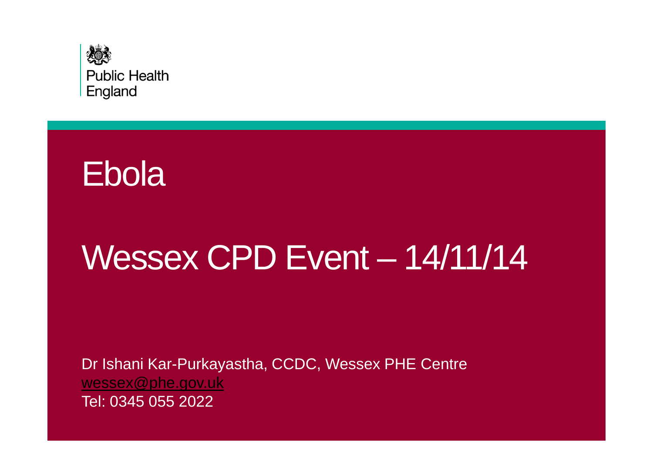



# Wessex CPD Event – 14/11/14

Dr Ishani Kar-Purkayastha, CCDC, Wessex PHE Centrewessex@phe.gov.ukTel: 0345 055 2022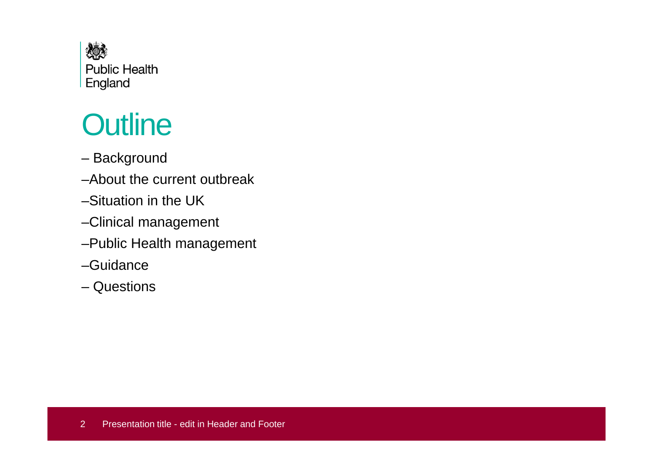

# **Outline**

- Background
- –About the current outbreak
- –Situation in the UK
- –Clinical management
- –Public Health management
- –Guidance
- Questions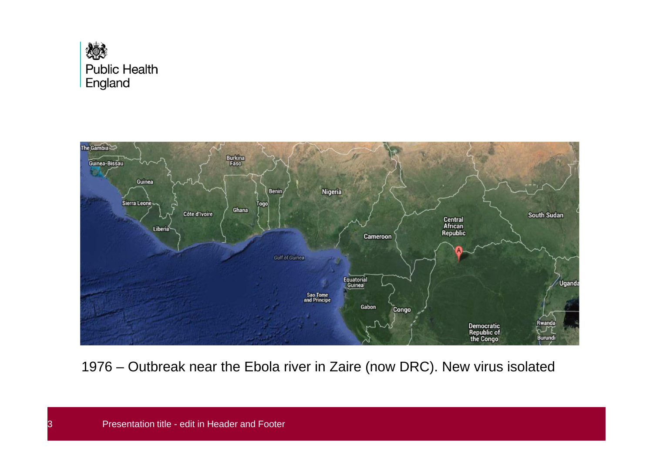



1976 – Outbreak near the Ebola river in Zaire (now DRC). New virus isolated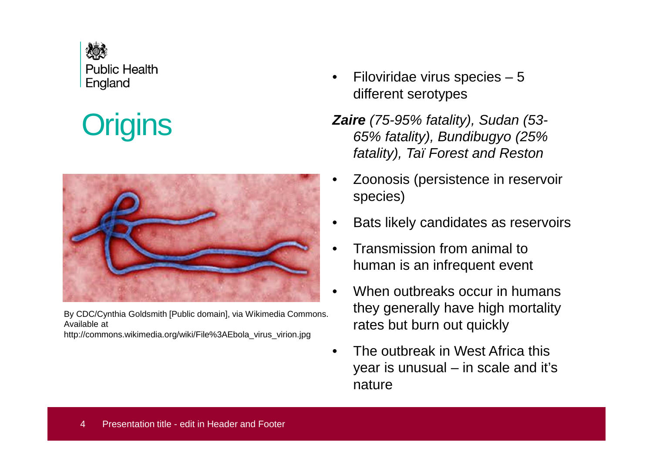

# **Origins**



By CDC/Cynthia Goldsmith [Public domain], via Wikimedia Commons. Available at

http://commons.wikimedia.org/wiki/File%3AEbola\_virus\_virion.jpg

- • Filoviridae virus species – 5 different serotypes
- **Zaire** (75-95% fatality), Sudan (53- 65% fatality), Bundibugyo (25% fatality), Taï Forest and Reston
- • Zoonosis (persistence in reservoir species)
- •Bats likely candidates as reservoirs
- • Transmission from animal to human is an infrequent event
- •When outbreaks occur in humans they generally have high mortality rates but burn out quickly
- • The outbreak in West Africa this year is unusual – in scale and it's nature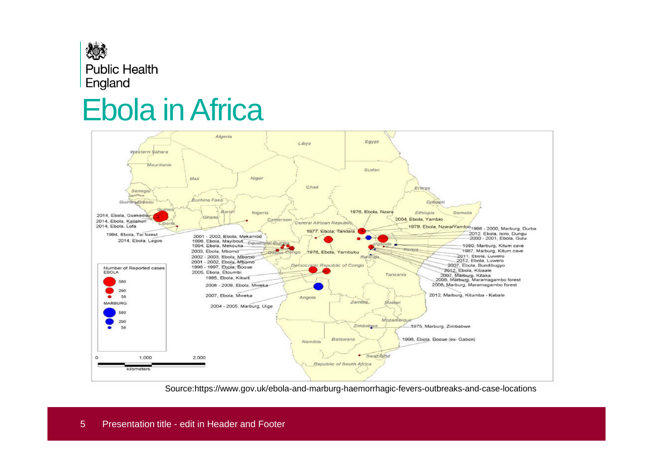

### Ebola in Africa



Source:https://www.gov.uk/ebola-and-marburg-haemorrhagic-fevers-outbreaks-and-case-locations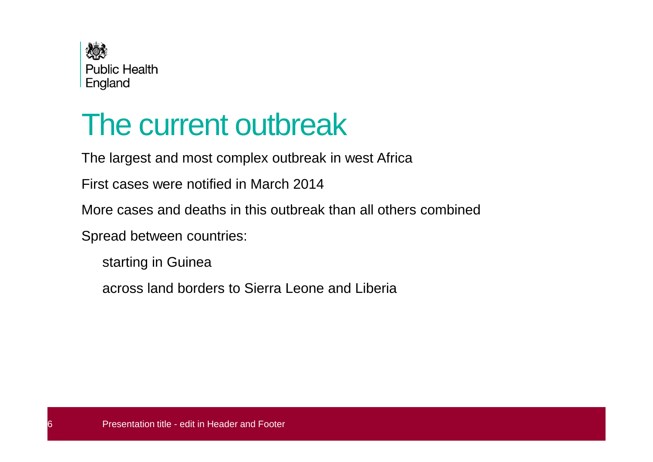

# The current outbreak

The largest and most complex outbreak in west Africa

First cases were notified in March 2014

More cases and deaths in this outbreak than all others combined

Spread between countries:

starting in Guinea

across land borders to Sierra Leone and Liberia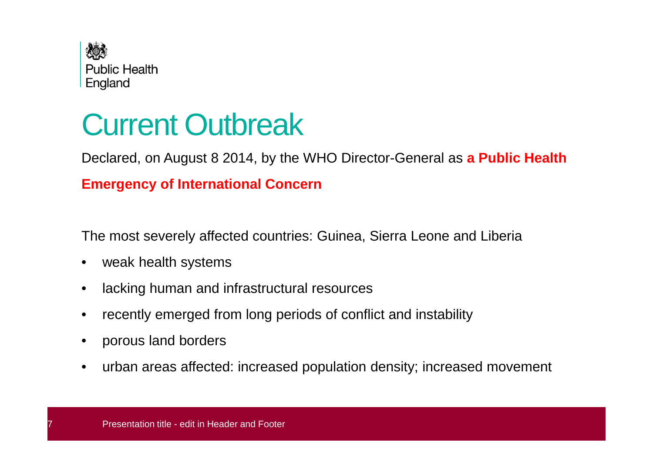

# Current Outbreak

Declared, on August 8 2014, by the WHO Director-General as **a Public Health**

#### **Emergency of International Concern**

The most severely affected countries: Guinea, Sierra Leone and Liberia

- $\bullet$ weak health systems
- $\bullet$ lacking human and infrastructural resources
- •recently emerged from long periods of conflict and instability
- •porous land borders
- •urban areas affected: increased population density; increased movement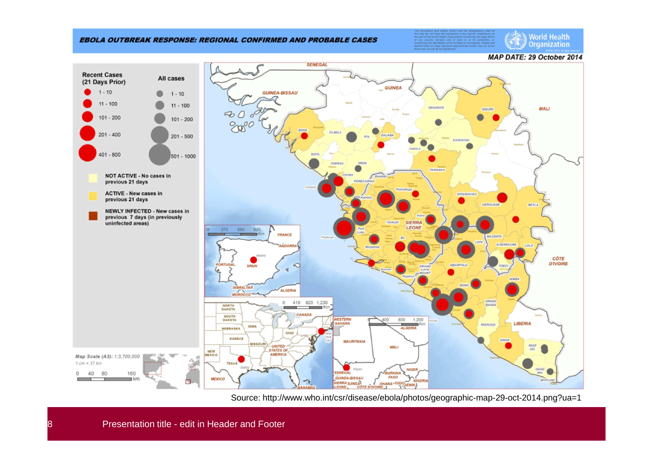#### **EBOLA OUTBREAK RESPONSE: REGIONAL CONFIRMED AND PROBABLE CASES**

**World Health** Organization

**MAP DATE: 29 October 2014** 



Source: http://www.who.int/csr/disease/ebola/photos/geographic-map-29-oct-2014.png?ua=1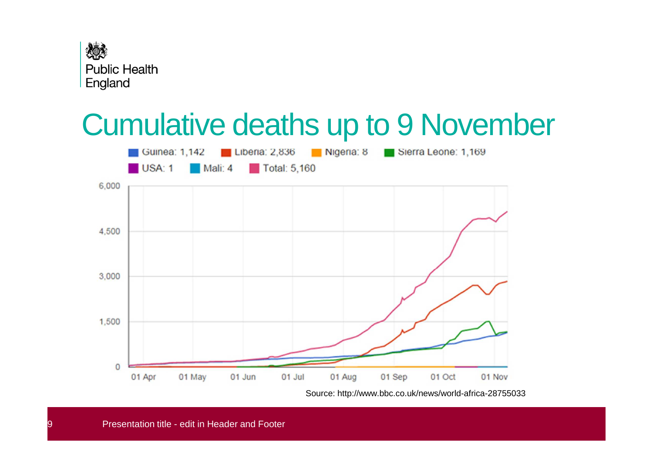

## Cumulative deaths up to 9 November



Source: http://www.bbc.co.uk/news/world-africa-28755033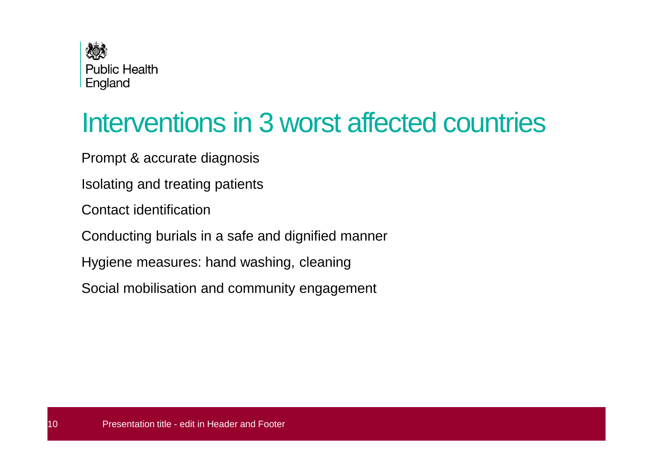

### Interventions in 3 worst affected countries

Prompt & accurate diagnosis

Isolating and treating patients

Contact identification

Conducting burials in a safe and dignified manner

Hygiene measures: hand washing, cleaning

Social mobilisation and community engagement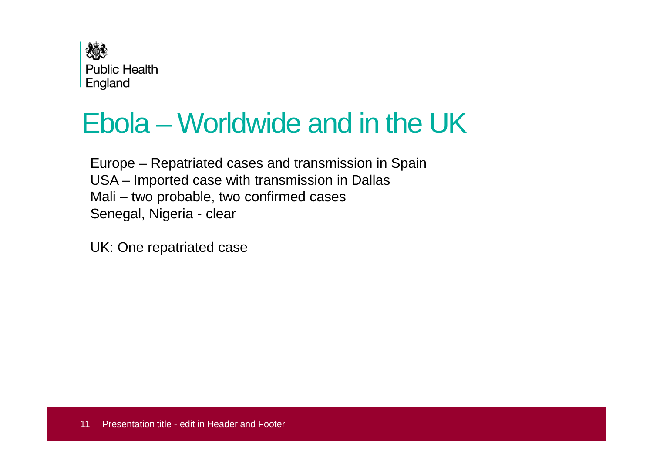

### Ebola – Worldwide and in the UK

Europe – Repatriated cases and transmission in SpainUSA – Imported case with transmission in DallasMali – two probable, two confirmed casesSenegal, Nigeria - clear

UK: One repatriated case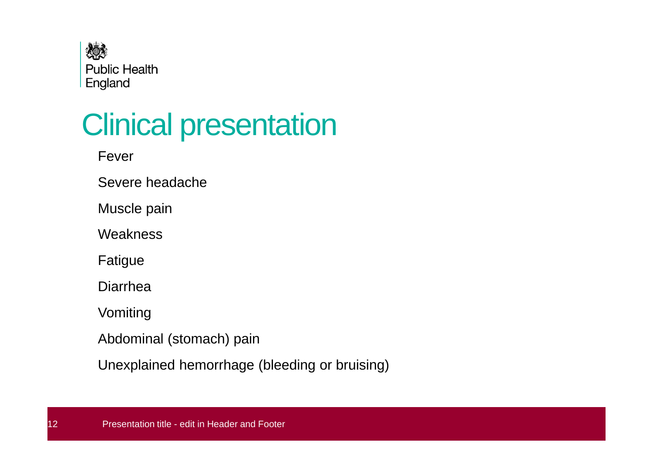

# Clinical presentation

Fever

Severe headache

Muscle pain

**Weakness** 

Fatigue

Diarrhea

Vomiting

Abdominal (stomach) pain

Unexplained hemorrhage (bleeding or bruising)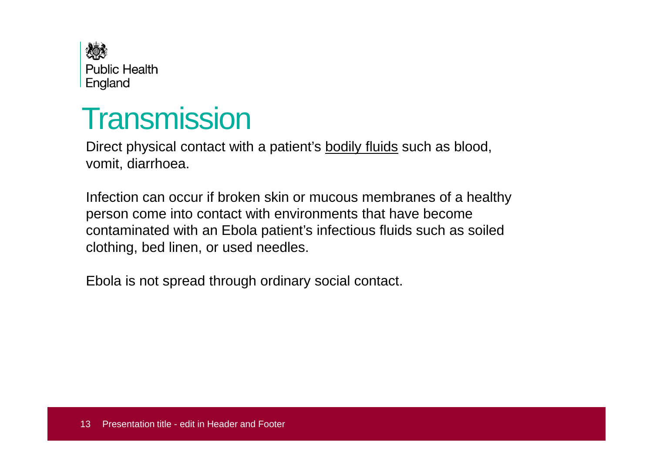

### **Transmission**

Direct physical contact with a patient's <u>bodily fluids</u> such as blood, vomit, diarrhoea.

Infection can occur if broken skin or mucous membranes of a healthy person come into contact with environments that have become contaminated with an Ebola patient's infectious fluids such as soiled clothing, bed linen, or used needles.

Ebola is not spread through ordinary social contact.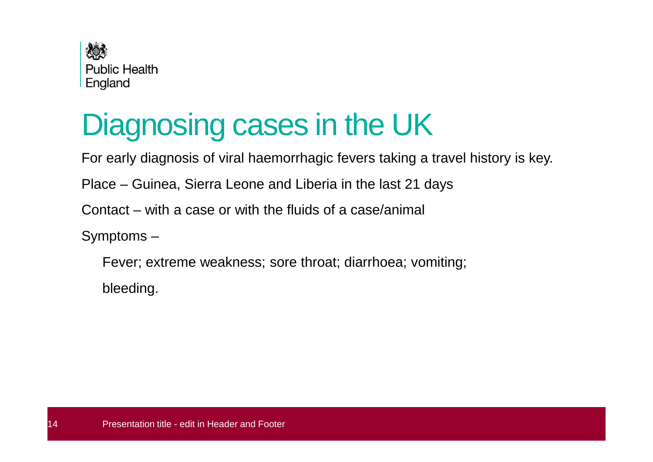

# Diagnosing cases in the UK

For early diagnosis of viral haemorrhagic fevers taking a travel history is key.

Place – Guinea, Sierra Leone and Liberia in the last 21 days

Contact – with a case or with the fluids of a case/animal

Symptoms –

Fever; extreme weakness; sore throat; diarrhoea; vomiting;

bleeding.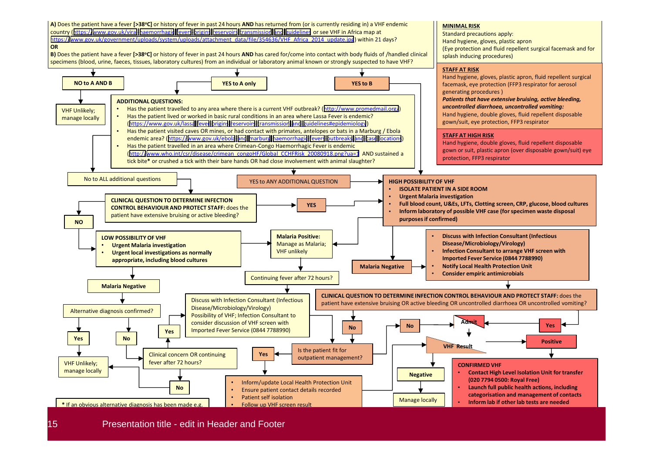

15 Presentation title - edit in Header and Footer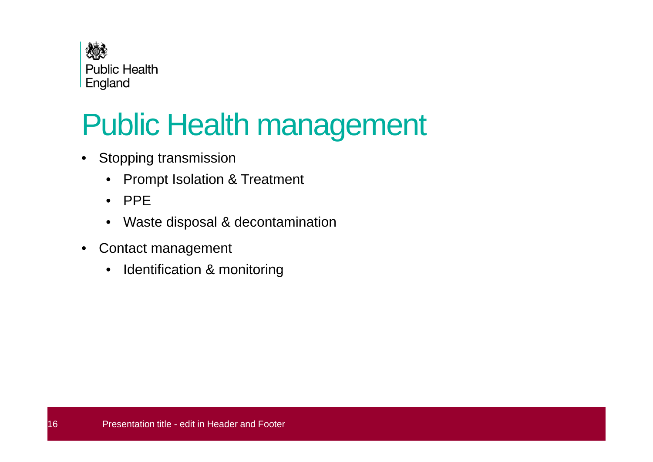

# Public Health management

- Stopping transmission
	- Prompt Isolation & Treatment
	- PPE
	- Waste disposal & decontamination $\bullet$
- $\bullet$  Contact management
	- $\bullet$ Identification & monitoring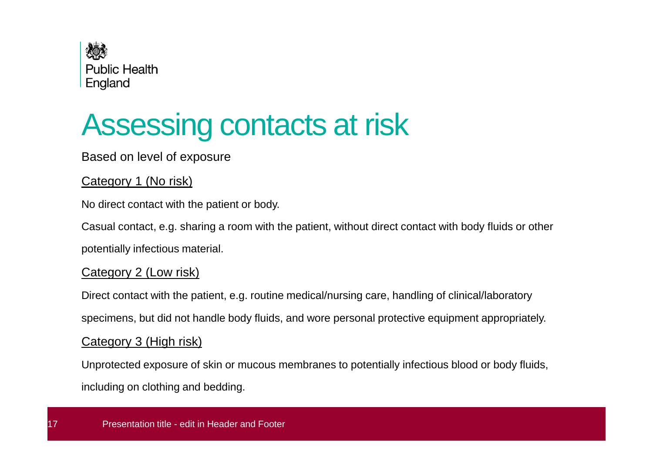

# Assessing contacts at risk

#### Based on level of exposure

#### Category 1 (No risk)

No direct contact with the patient or body.

Casual contact, e.g. sharing a room with the patient, without direct contact with body fluids or otherpotentially infectious material.

#### Category 2 (Low risk)

Direct contact with the patient, e.g. routine medical/nursing care, handling of clinical/laboratoryspecimens, but did not handle body fluids, and wore personal protective equipment appropriately.

#### Category 3 (High risk)

Unprotected exposure of skin or mucous membranes to potentially infectious blood or body fluids,including on clothing and bedding.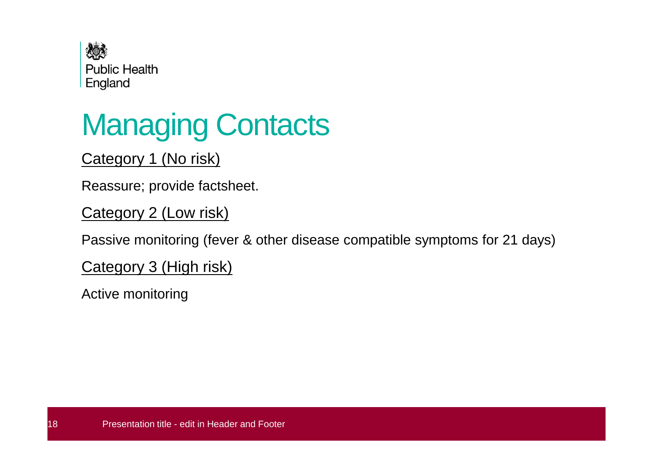

# Managing Contacts

#### Category 1 (No risk)

Reassure; provide factsheet.

Category 2 (Low risk)

Passive monitoring (fever & other disease compatible symptoms for 21 days)

Category 3 (High risk)

Active monitoring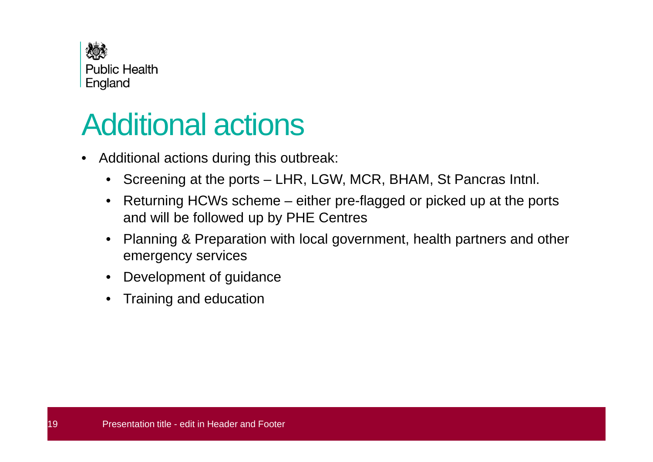

### Additional actions

- Additional actions during this outbreak:
	- Screening at the ports LHR, LGW, MCR, BHAM, St Pancras Intnl.
	- • Returning HCWs scheme – either pre-flagged or picked up at the ports and will be followed up by PHE Centres
	- • Planning & Preparation with local government, health partners and other emergency services
	- •Development of guidance
	- •Training and education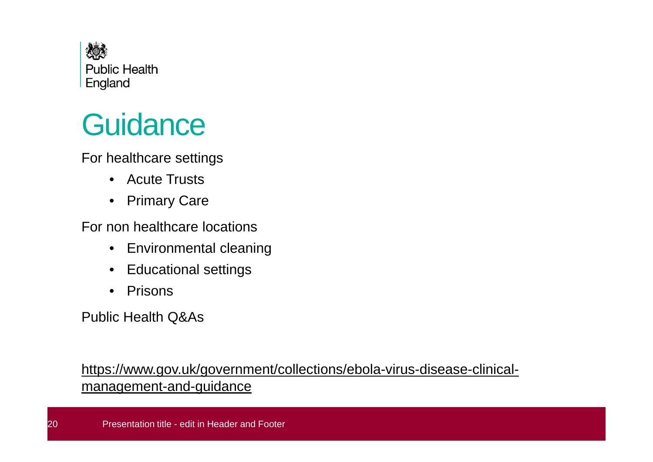

# **Guidance**

For healthcare settings

- Acute Trusts
- $\bullet$ Primary Care

For non healthcare locations

- $\bullet$ Environmental cleaning
- $\bullet$ Educational settings
- $\bullet$ Prisons

Public Health Q&As

https://www.gov.uk/government/collections/ebola-virus-disease-clinicalmanagement-and-guidance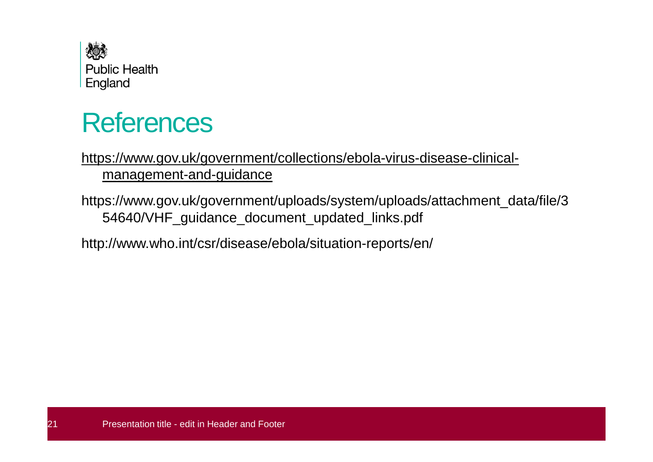

#### References

#### https://www.gov.uk/government/collections/ebola-virus-disease-clinicalmanagement-and-guidance

https://www.gov.uk/government/uploads/system/uploads/attachment\_data/file/354640/VHF\_guidance\_document\_updated\_links.pdf

http://www.who.int/csr/disease/ebola/situation-reports/en/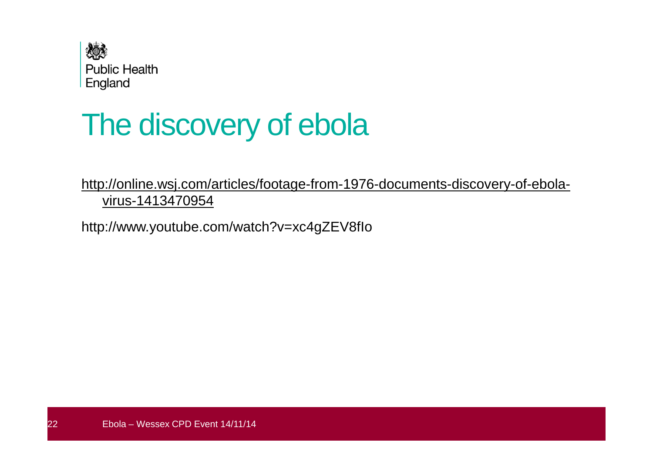

# The discovery of ebola

http://online.wsj.com/articles/footage-from-1976-documents-discovery-of-ebolavirus-1413470954

http://www.youtube.com/watch?v=xc4gZEV8fIo